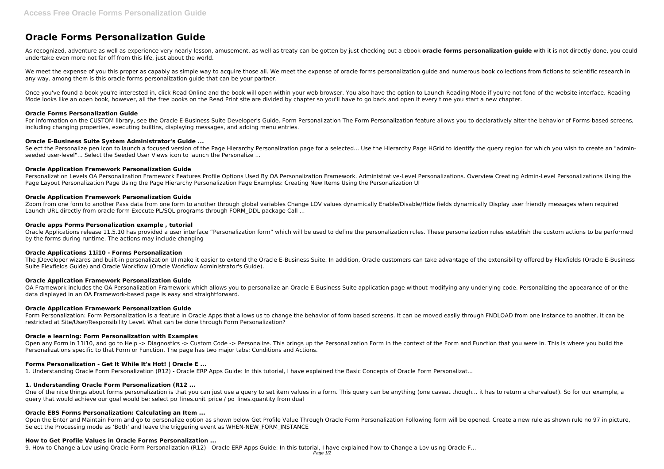# **Oracle Forms Personalization Guide**

As recognized, adventure as well as experience very nearly lesson, amusement, as well as treaty can be gotten by just checking out a ebook **oracle forms personalization guide** with it is not directly done, you could undertake even more not far off from this life, just about the world.

We meet the expense of you this proper as capably as simple way to acquire those all. We meet the expense of oracle forms personalization quide and numerous book collections from fictions to scientific research in any way. among them is this oracle forms personalization guide that can be your partner.

Once you've found a book you're interested in, click Read Online and the book will open within your web browser. You also have the option to Launch Reading Mode if you're not fond of the website interface. Reading Mode looks like an open book, however, all the free books on the Read Print site are divided by chapter so you'll have to go back and open it every time you start a new chapter.

Select the Personalize pen icon to launch a focused version of the Page Hierarchy Personalization page for a selected... Use the Hierarchy Page HGrid to identify the query region for which you wish to create an "adminseeded user-level"... Select the Seeded User Views icon to launch the Personalize ...

#### **Oracle Forms Personalization Guide**

Zoom from one form to another Pass data from one form to another through global variables Change LOV values dynamically Enable/Disable/Hide fields dynamically Display user friendly messages when required Launch URL directly from oracle form Execute PL/SOL programs through FORM\_DDL package Call ...

For information on the CUSTOM library, see the Oracle E-Business Suite Developer's Guide. Form Personalization The Form Personalization feature allows you to declaratively alter the behavior of Forms-based screens, including changing properties, executing builtins, displaying messages, and adding menu entries.

### **Oracle E-Business Suite System Administrator's Guide ...**

### **Oracle Application Framework Personalization Guide**

Form Personalization: Form Personalization is a feature in Oracle Apps that allows us to change the behavior of form based screens. It can be moved easily through FNDLOAD from one instance to another, It can be restricted at Site/User/Responsibility Level. What can be done through Form Personalization?

Personalization Levels OA Personalization Framework Features Profile Options Used By OA Personalization Framework. Administrative-Level Personalizations. Overview Creating Admin-Level Personalizations Using the Page Layout Personalization Page Using the Page Hierarchy Personalization Page Examples: Creating New Items Using the Personalization UI

Open any Form in 11i10, and go to Help -> Diagnostics -> Custom Code -> Personalize. This brings up the Personalization Form in the context of the Form and Function that you were in. This is where you build the Personalizations specific to that Form or Function. The page has two major tabs: Conditions and Actions.

### **Oracle Application Framework Personalization Guide**

One of the nice things about forms personalization is that you can just use a query to set item values in a form. This query can be anything (one caveat though… it has to return a charvalue!). So for our example, a query that would achieve our goal would be: select po\_lines.unit\_price / po\_lines.quantity from dual

### **Oracle apps Forms Personalization example , tutorial**

Oracle Applications release 11.5.10 has provided a user interface "Personalization form" which will be used to define the personalization rules. These personalization rules establish the custom actions to be performed by the forms during runtime. The actions may include changing

### **Oracle Applications 11i10 - Forms Personalization**

The JDeveloper wizards and built-in personalization UI make it easier to extend the Oracle E-Business Suite. In addition, Oracle customers can take advantage of the extensibility offered by Flexfields (Oracle E-Business Suite Flexfields Guide) and Oracle Workflow (Oracle Workflow Administrator's Guide).

### **Oracle Application Framework Personalization Guide**

OA Framework includes the OA Personalization Framework which allows you to personalize an Oracle E-Business Suite application page without modifying any underlying code. Personalizing the appearance of or the data displayed in an OA Framework-based page is easy and straightforward.

### **Oracle Application Framework Personalization Guide**

### **Oracle e learning: Form Personalization with Examples**

### **Forms Personalization - Get It While It's Hot! | Oracle E ...**

1. Understanding Oracle Form Personalization (R12) - Oracle ERP Apps Guide: In this tutorial, I have explained the Basic Concepts of Oracle Form Personalizat...

### **1. Understanding Oracle Form Personalization (R12 ...**

### **Oracle EBS Forms Personalization: Calculating an Item ...**

Open the Enter and Maintain Form and go to personalize option as shown below Get Profile Value Through Oracle Form Personalization Following form will be opened. Create a new rule as shown rule no 97 in picture, Select the Processing mode as 'Both' and leave the triggering event as WHEN-NEW FORM INSTANCE

### **How to Get Profile Values in Oracle Forms Personalization ...**

9. How to Change a Lov using Oracle Form Personalization (R12) - Oracle ERP Apps Guide: In this tutorial, I have explained how to Change a Lov using Oracle F...